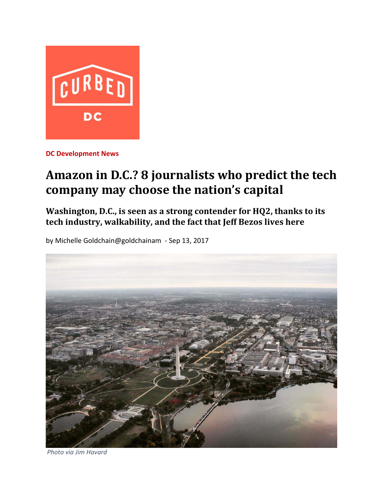

**DC Development News** 

## **Amazon in D.C.? 8 journalists who predict the tech company may choose the nation's capital**

**Washington, D.C., is seen as a strong contender for HQ2, thanks to its tech industry, walkability, and the fact that Jeff Bezos lives here**

by Michelle Goldchain@goldchainam ‐ Sep 13, 2017



*Photo via Jim Havard*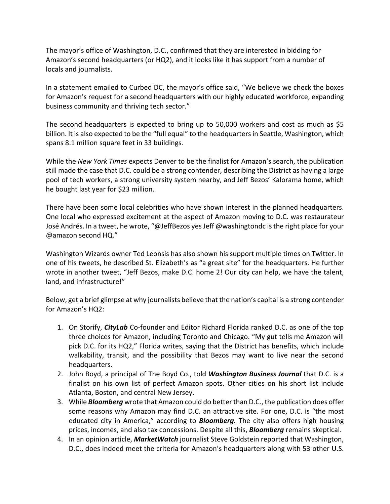The mayor's office of Washington, D.C., confirmed that they are interested in bidding for Amazon's second headquarters (or HQ2), and it looks like it has support from a number of locals and journalists.

In a statement emailed to Curbed DC, the mayor's office said, "We believe we check the boxes for Amazon's request for a second headquarters with our highly educated workforce, expanding business community and thriving tech sector."

The second headquarters is expected to bring up to 50,000 workers and cost as much as \$5 billion. It is also expected to be the "full equal" to the headquarters in Seattle, Washington, which spans 8.1 million square feet in 33 buildings.

While the *New York Times* expects Denver to be the finalist for Amazon's search, the publication still made the case that D.C. could be a strong contender, describing the District as having a large pool of tech workers, a strong university system nearby, and Jeff Bezos' Kalorama home, which he bought last year for \$23 million.

There have been some local celebrities who have shown interest in the planned headquarters. One local who expressed excitement at the aspect of Amazon moving to D.C. was restaurateur José Andrés. In a tweet, he wrote, "@JeffBezos yesJeff @washingtondc isthe right place for your @amazon second HQ."

Washington Wizards owner Ted Leonsis has also shown his support multiple times on Twitter. In one of his tweets, he described St. Elizabeth's as "a great site" for the headquarters. He further wrote in another tweet, "Jeff Bezos, make D.C. home 2! Our city can help, we have the talent, land, and infrastructure!"

Below, get a brief glimpse at why journalists believe that the nation's capital is a strong contender for Amazon's HQ2:

- 1. On Storify, *CityLab* Co‐founder and Editor Richard Florida ranked D.C. as one of the top three choices for Amazon, including Toronto and Chicago. "My gut tells me Amazon will pick D.C. for its HQ2," Florida writes, saying that the District has benefits, which include walkability, transit, and the possibility that Bezos may want to live near the second headquarters.
- 2. John Boyd, a principal of The Boyd Co., told *Washington Business Journal* that D.C. is a finalist on his own list of perfect Amazon spots. Other cities on his short list include Atlanta, Boston, and central New Jersey.
- 3. While *Bloomberg* wrote that Amazon could do betterthan D.C., the publication does offer some reasons why Amazon may find D.C. an attractive site. For one, D.C. is "the most educated city in America," according to *Bloomberg.* The city also offers high housing prices, incomes, and also tax concessions. Despite all this, *Bloomberg* remains skeptical.
- 4. In an opinion article, *MarketWatch* journalist Steve Goldstein reported that Washington, D.C., does indeed meet the criteria for Amazon's headquarters along with 53 other U.S.